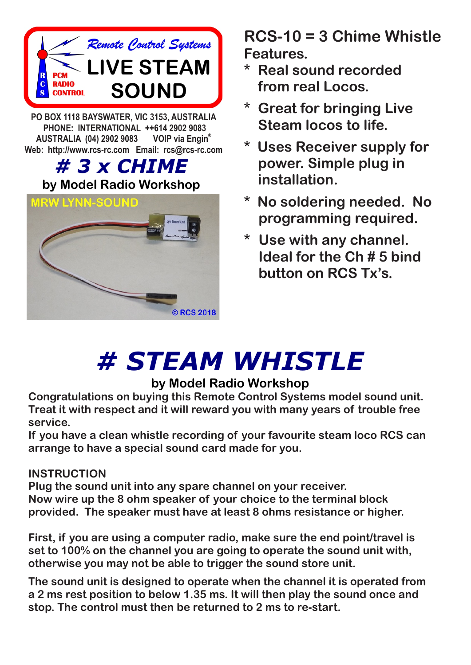

**PO BOX 1118 BAYSWATER, VIC 3153, AUSTRALIA PHONE: INTERNATIONAL ++614 2902 9083 VOIP** via Engin® **AUSTRALIA (04) 2902 9083 Web: http://www.rcs-rc.com Email: rcs@rcs-rc.com**

# *# 3 x CHIME*

## **by Model Radio Workshop**



**RCS-10 = 3 Chime Whistle Features.**

- **\* Real sound recorded from real Locos.**
- **\* Great for bringing Live Steam locos to life.**
- **\* Uses Receiver supply for power. Simple plug in installation.**
- **\* No soldering needed. No programming required.**
- **\* Use with any channel. Ideal for the Ch # 5 bind button on RCS Tx's.**

# *# STEAM WHISTLE*

### **by Model Radio Workshop**

**Congratulations on buying this Remote Control Systems model sound unit. Treat it with respect and it will reward you with many years of trouble free service.**

**If you have a clean whistle recording of your favourite steam loco RCS can arrange to have a special sound card made for you.**

#### **INSTRUCTION**

**Plug the sound unit into any spare channel on your receiver. Now wire up the 8 ohm speaker of your choice to the terminal block provided. The speaker must have at least 8 ohms resistance or higher.**

**First, if you are using a computer radio, make sure the end point/travel is set to 100% on the channel you are going to operate the sound unit with, otherwise you may not be able to trigger the sound store unit.**

**The sound unit is designed to operate when the channel it is operated from a 2 ms rest position to below 1.35 ms. It will then play the sound once and stop. The control must then be returned to 2 ms to re-start.**